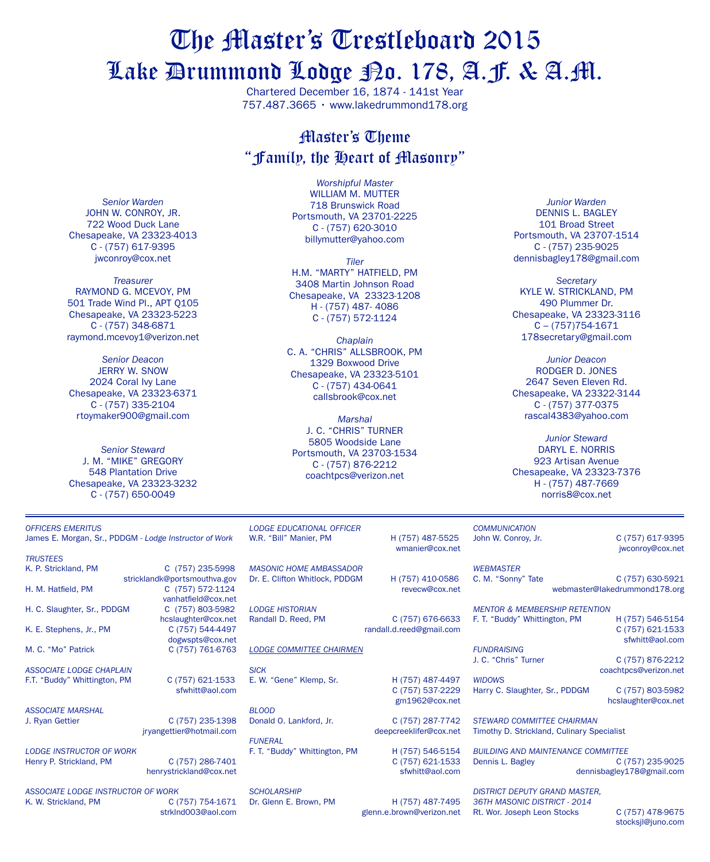# The Master's Trestleboard 2015 Lake Drummond Lodge No. 178, A.F. & A.M.

Chartered December 16, 1874 - 141st Year 757.487.3665 • www.lakedrummond178.org

#### Master's Theme "Family, the Heart of Masonry"

*Senior Warden* JOHN W. CONROY, JR. 722 Wood Duck Lane Chesapeake, VA 23323-4013 C - (757) 617-9395 jwconroy@cox.net

*Treasurer* Raymond G. McEvoy, PM 501 Trade Wind Pl., APT Q105 Chesapeake, VA 23323-5223 C - (757) 348-6871 raymond.mcevoy1@verizon.net

*Senior Deacon* **JERRY W. SNOW** 2024 Coral Ivy Lane Chesapeake, VA 23323-6371 C - (757) 335-2104 rtoymaker900@gmail.com

*Senior Steward* J. M. "Mike" Gregory 548 Plantation Drive Chesapeake, VA 23323-3232 C - (757) 650-0049

*Worshipful Master* WILLIAM M. MUTTER 718 Brunswick Road Portsmouth, VA 23701-2225 C - (757) 620-3010 billymutter@yahoo.com

*Tiler* h.m. "Marty" hatfield, PM 3408 Martin Johnson Road Chesapeake, VA 23323-1208 H - (757) 487- 4086 C - (757) 572-1124

*Chaplain* C. A. "Chris" Allsbrook, PM 1329 Boxwood Drive Chesapeake, VA 23323-5101 C - (757) 434-0641 callsbrook@cox.net

*Marshal* J. C. "Chris" Turner 5805 Woodside Lane Portsmouth, VA 23703-1534 C - (757) 876-2212 coachtpcs@verizon.net

*Junior Warden* DENNIS L. BAGLEY 101 Broad Street Portsmouth, VA 23707-1514 C - (757) 235-9025 dennisbagley178@gmail.com

*Secretary* KYLE W. STRICKLAND, PM 490 Plummer Dr. Chesapeake, VA 23323-3116 C – (757)754-1671 178secretary@gmail.com

*Junior Deacon* Rodger D. Jones 2647 Seven Eleven Rd. Chesapeake, VA 23322-3144 C - (757) 377-0375 rascal4383@yahoo.com

*Junior Steward* Daryl E. Norris 923 Artisan Avenue Chesapeake, VA 23323-7376 H - (757) 487-7669 norris8@cox.net

James E. Morgan, Sr., PDDGM - *Lodge Instructor of Work trustees* K. P. Strickland, PM C (757) 235-5998 stricklandk@portsmouthva.gov

H. M. Hatfield, PM C (757) 572-1124 vanhatfield@cox.net<br>C (757) 803-5982 H. C. Slaughter, Sr., PDDGM hcslaughter@cox.net K. E. Stephens, Jr., PM C (757) 544-4497 dogwspts@cox.net M. C. "Mo" Patrick C (757) 761-6763 *ASSOCIATE LODGE CHAPLAIN* F.T. "Buddy" Whittington, PM C (757) 621-1533 sfwhitt@aol.com

*ASSOCIATE MARSHAL*

*OFFICERS EMERITUS*

*LODGE INSTRUCTOR OF WORK*

Henry P. Strickland, PM C (757) 286-7401 henrystrickland@cox.net

C (757) 235-1398 jryangettier@hotmail.com

*ASSOCIATE LODGE INSTRUCTOR OF WORK* K. W. Strickland, PM strklnd003@aol.com

*lodge educational officer* W.R. "Bill" Manier, PM H (757) 487-5525

*Masonic home ambassador* Dr. E. Clifton Whitlock, PDDGM H (757) 410-0586

*Lodge Historian*

C (757) 676-6633 randall.d.reed@gmail.com

*Lodge COMMITTEE CHAIRMEN*

*SICK* E. W. "Gene" Klemp, Sr. H (757) 487-4497

*BLOOD* Donald O. Lankford, Jr. C (757) 287-7742

*FUNERAL* F. T. "Buddy" Whittington, PM H (757) 546-5154

*SCHOLARSHIP* Dr. Glenn E. Brown, PM H (757) 487-7495

wmanier@cox.net

revecw@cox.net

*WIDOWS*

C (757) 537-2229 gm1962@cox.net

deepcreeklifer@cox.net

C (757) 621-1533 sfwhitt@aol.com

glenn.e.brown@verizon.net

dennisbagley178@gmail.com

*District deputy grand master, 36th masonic district - 2014* Rt. Wor. Joseph Leon Stocks C (757) 478-9675

stocksjl@juno.com

John W. Conroy, Jr. C (757) 617-9395 jwconroy@cox.net

C. M. "Sonny" Tate C (757) 630-5921

webmaster@lakedrummond178.org

*MENTOR & MEMBERSHIP RETENTION* F. T. "Buddy" Whittington, PM H (757) 546-5154 C (757) 621-1533 sfwhitt@aol.com

*FUNDRAISING* J. C. "Chris" Turner C (757) 876-2212

*COMMUNICATION*

*WEBMASTER*

coachtpcs@verizon.net Harry C. Slaughter, Sr., PDDGM C (757) 803-5982

hcslaughter@cox.net

*STEWARD COMMITTEE CHAIRMAN* Timothy D. Strickland, Culinary Specialist

*BUILDING AND MAINTENANCE COMMITTEE* Dennis L. Bagley C (757) 235-9025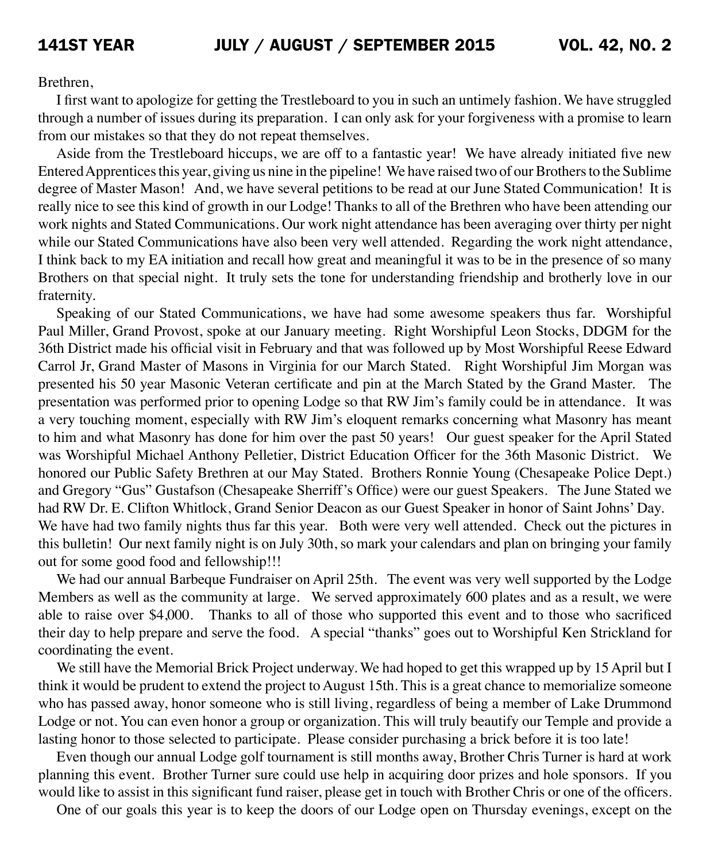Brethren,

 I first want to apologize for getting the Trestleboard to you in such an untimely fashion. We have struggled through a number of issues during its preparation. I can only ask for your forgiveness with a promise to learn from our mistakes so that they do not repeat themselves.

 Aside from the Trestleboard hiccups, we are off to a fantastic year! We have already initiated five new Entered Apprentices this year, giving us nine in the pipeline! We have raised two of our Brothers to the Sublime degree of Master Mason! And, we have several petitions to be read at our June Stated Communication! It is really nice to see this kind of growth in our Lodge! Thanks to all of the Brethren who have been attending our work nights and Stated Communications. Our work night attendance has been averaging over thirty per night while our Stated Communications have also been very well attended. Regarding the work night attendance, I think back to my EA initiation and recall how great and meaningful it was to be in the presence of so many Brothers on that special night. It truly sets the tone for understanding friendship and brotherly love in our fraternity.

 Speaking of our Stated Communications, we have had some awesome speakers thus far. Worshipful Paul Miller, Grand Provost, spoke at our January meeting. Right Worshipful Leon Stocks, DDGM for the 36th District made his official visit in February and that was followed up by Most Worshipful Reese Edward Carrol Jr, Grand Master of Masons in Virginia for our March Stated. Right Worshipful Jim Morgan was presented his 50 year Masonic Veteran certificate and pin at the March Stated by the Grand Master. The presentation was performed prior to opening Lodge so that RW Jim's family could be in attendance. It was a very touching moment, especially with RW Jim's eloquent remarks concerning what Masonry has meant to him and what Masonry has done for him over the past 50 years! Our guest speaker for the April Stated was Worshipful Michael Anthony Pelletier, District Education Officer for the 36th Masonic District. We honored our Public Safety Brethren at our May Stated. Brothers Ronnie Young (Chesapeake Police Dept.) and Gregory "Gus" Gustafson (Chesapeake Sherriff's Office) were our guest Speakers. The June Stated we had RW Dr. E. Clifton Whitlock, Grand Senior Deacon as our Guest Speaker in honor of Saint Johns' Day. We have had two family nights thus far this year. Both were very well attended. Check out the pictures in this bulletin! Our next family night is on July 30th, so mark your calendars and plan on bringing your family out for some good food and fellowship!!!

We had our annual Barbeque Fundraiser on April 25th. The event was very well supported by the Lodge Members as well as the community at large. We served approximately 600 plates and as a result, we were able to raise over \$4,000. Thanks to all of those who supported this event and to those who sacrificed their day to help prepare and serve the food. A special "thanks" goes out to Worshipful Ken Strickland for coordinating the event.

 We still have the Memorial Brick Project underway. We had hoped to get this wrapped up by 15 April but I think it would be prudent to extend the project to August 15th. This is a great chance to memorialize someone who has passed away, honor someone who is still living, regardless of being a member of Lake Drummond Lodge or not. You can even honor a group or organization. This will truly beautify our Temple and provide a lasting honor to those selected to participate. Please consider purchasing a brick before it is too late!

 Even though our annual Lodge golf tournament is still months away, Brother Chris Turner is hard at work planning this event. Brother Turner sure could use help in acquiring door prizes and hole sponsors. If you would like to assist in this significant fund raiser, please get in touch with Brother Chris or one of the officers.

 One of our goals this year is to keep the doors of our Lodge open on Thursday evenings, except on the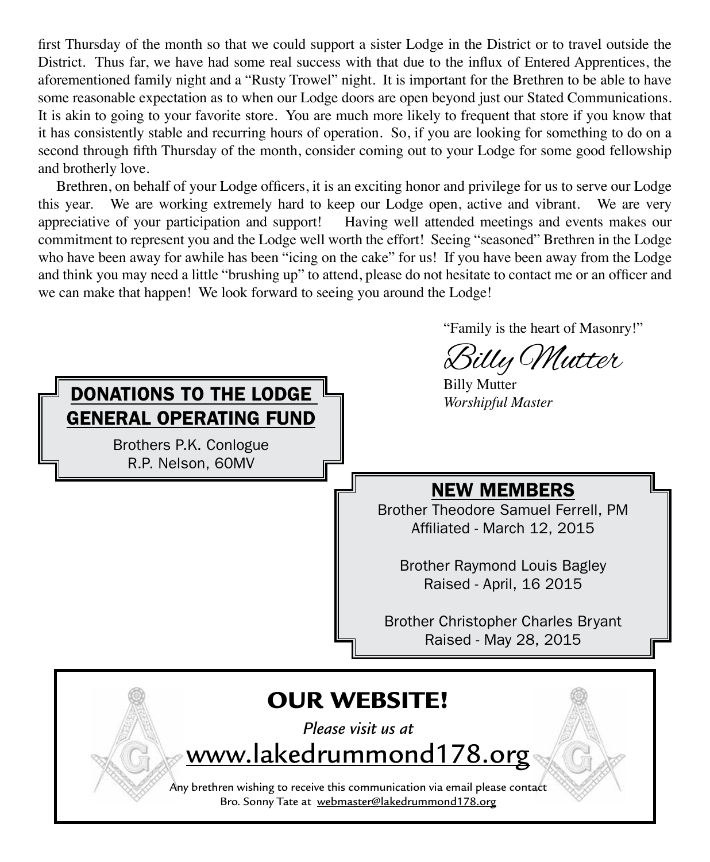first Thursday of the month so that we could support a sister Lodge in the District or to travel outside the District. Thus far, we have had some real success with that due to the influx of Entered Apprentices, the aforementioned family night and a "Rusty Trowel" night. It is important for the Brethren to be able to have some reasonable expectation as to when our Lodge doors are open beyond just our Stated Communications. It is akin to going to your favorite store. You are much more likely to frequent that store if you know that it has consistently stable and recurring hours of operation. So, if you are looking for something to do on a second through fifth Thursday of the month, consider coming out to your Lodge for some good fellowship and brotherly love.

 Brethren, on behalf of your Lodge officers, it is an exciting honor and privilege for us to serve our Lodge this year. We are working extremely hard to keep our Lodge open, active and vibrant. We are very appreciative of your participation and support! Having well attended meetings and events makes our commitment to represent you and the Lodge well worth the effort! Seeing "seasoned" Brethren in the Lodge who have been away for awhile has been "icing on the cake" for us! If you have been away from the Lodge and think you may need a little "brushing up" to attend, please do not hesitate to contact me or an officer and we can make that happen! We look forward to seeing you around the Lodge!

 "Family is the heart of Masonry!"

Billy Mutter<br><sup>Billy Mutter</sup> **DONATIONS TO THE LODGE** Billy Mutter **DONATIONS TO THE LODGE THE MASTER TO THE LODGE** OUR WEBSITE! *Please visit us at*  NEW MEMBERS Brother Theodore Samuel Ferrell, PM Affiliated - March 12, 2015 Brother Raymond Louis Bagley Raised - April, 16 2015 Brother Christopher Charles Bryant Raised - May 28, 2015 GENERAL OPERATING FUND Brothers P.K. Conlogue R.P. Nelson, 60MV

Any brethren wishing to receive this communication via email please contact Bro. Sonny Tate at webmaster@lakedrummond178.org

www.lakedrummond178.org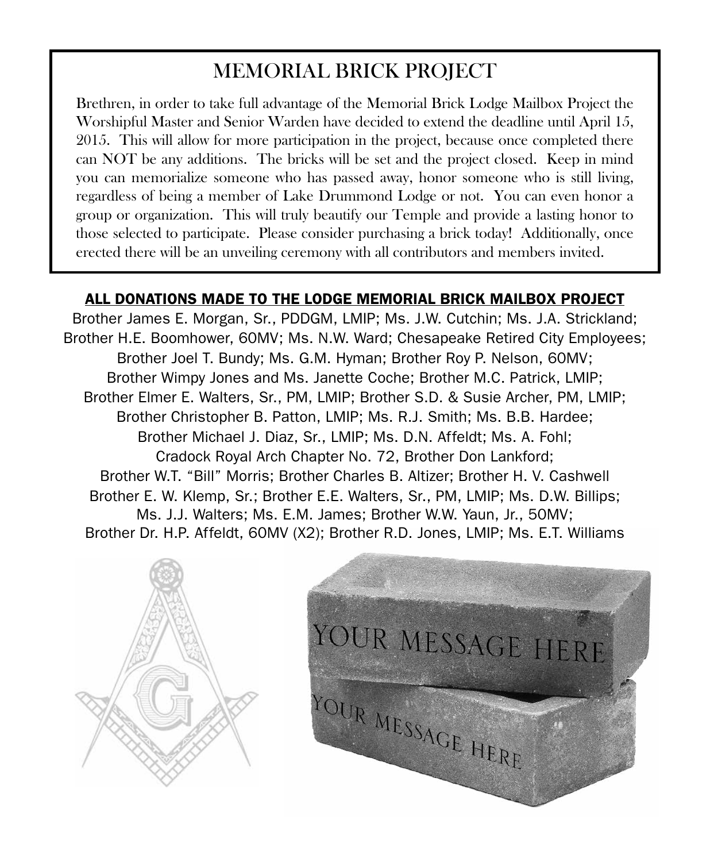## MEMORIAL BRICK PROJECT

Brethren, in order to take full advantage of the Memorial Brick Lodge Mailbox Project the Worshipful Master and Senior Warden have decided to extend the deadline until April 15, 2015. This will allow for more participation in the project, because once completed there can NOT be any additions. The bricks will be set and the project closed. Keep in mind you can memorialize someone who has passed away, honor someone who is still living, regardless of being a member of Lake Drummond Lodge or not. You can even honor a group or organization. This will truly beautify our Temple and provide a lasting honor to those selected to participate. Please consider purchasing a brick today! Additionally, once erected there will be an unveiling ceremony with all contributors and members invited.

#### ALL DONATIONS MADE TO THE LODGE MEMORIAL BRICK MAILBOX PROJECT

Brother James E. Morgan, Sr., PDDGM, LMIP; Ms. J.W. Cutchin; Ms. J.A. Strickland; Brother H.E. Boomhower, 60MV; Ms. N.W. Ward; Chesapeake Retired City Employees; Brother Joel T. Bundy; Ms. G.M. Hyman; Brother Roy P. Nelson, 60MV; Brother Wimpy Jones and Ms. Janette Coche; Brother M.C. Patrick, LMIP; Brother Elmer E. Walters, Sr., PM, LMIP; Brother S.D. & Susie Archer, PM, LMIP; Brother Christopher B. Patton, LMIP; Ms. R.J. Smith; Ms. B.B. Hardee; Brother Michael J. Diaz, Sr., LMIP; Ms. D.N. Affeldt; Ms. A. Fohl; Cradock Royal Arch Chapter No. 72, Brother Don Lankford; Brother W.T. "Bill" Morris; Brother Charles B. Altizer; Brother H. V. Cashwell Brother E. W. Klemp, Sr.; Brother E.E. Walters, Sr., PM, LMIP; Ms. D.W. Billips; Ms. J.J. Walters; Ms. E.M. James; Brother W.W. Yaun, Jr., 50MV; Brother Dr. H.P. Affeldt, 60MV (X2); Brother R.D. Jones, LMIP; Ms. E.T. Williams



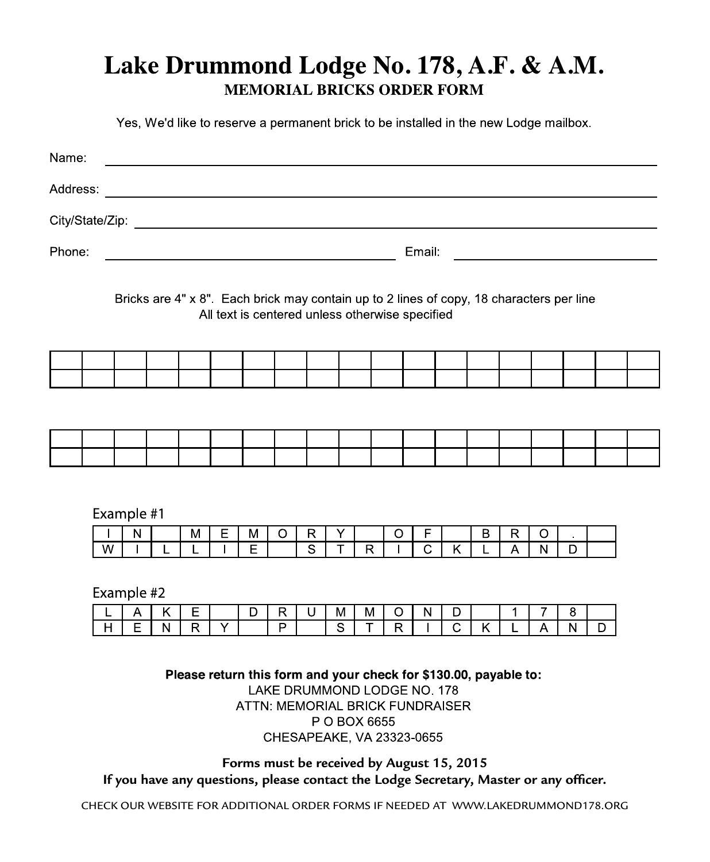## Lake Drummond Lodge No. 178, A.F. & A.M. **MEMORIAL BRICKS ORDER FORM**

Yes, We'd like to reserve a permanent brick to be installed in the new Lodge mailbox.

| Name:                                                                                                                                                                           |                                                                                                                                             |              |                                                                    |   |   |   |                |           |              |              |                         |              |                         |   |   |              |   |   |  |
|---------------------------------------------------------------------------------------------------------------------------------------------------------------------------------|---------------------------------------------------------------------------------------------------------------------------------------------|--------------|--------------------------------------------------------------------|---|---|---|----------------|-----------|--------------|--------------|-------------------------|--------------|-------------------------|---|---|--------------|---|---|--|
| Address:                                                                                                                                                                        |                                                                                                                                             |              | <u> 1980 - Johann Barbara, martxa amerikan personal (h. 1980).</u> |   |   |   |                |           |              |              |                         |              |                         |   |   |              |   |   |  |
|                                                                                                                                                                                 |                                                                                                                                             |              |                                                                    |   |   |   |                |           |              |              |                         |              |                         |   |   |              |   |   |  |
| Email:<br>Phone:<br><u> 1980 - Johann Barbara, martin amerikan basal dan berasal dan berasal dalam basal dalam basal dan berasal dan</u>                                        |                                                                                                                                             |              |                                                                    |   |   |   |                |           |              |              |                         |              |                         |   |   |              |   |   |  |
|                                                                                                                                                                                 | Bricks are 4" x 8". Each brick may contain up to 2 lines of copy, 18 characters per line<br>All text is centered unless otherwise specified |              |                                                                    |   |   |   |                |           |              |              |                         |              |                         |   |   |              |   |   |  |
|                                                                                                                                                                                 |                                                                                                                                             |              |                                                                    |   |   |   |                |           |              |              |                         |              |                         |   |   |              |   |   |  |
|                                                                                                                                                                                 |                                                                                                                                             |              |                                                                    |   |   |   |                |           |              |              |                         |              |                         |   |   |              |   |   |  |
|                                                                                                                                                                                 |                                                                                                                                             |              |                                                                    |   |   |   |                |           |              |              |                         |              |                         |   |   |              |   |   |  |
|                                                                                                                                                                                 |                                                                                                                                             |              |                                                                    |   |   |   |                |           |              |              |                         |              |                         |   |   |              |   |   |  |
|                                                                                                                                                                                 |                                                                                                                                             |              |                                                                    |   |   |   |                |           |              |              |                         |              |                         |   |   |              |   |   |  |
|                                                                                                                                                                                 | Example #1                                                                                                                                  |              |                                                                    |   |   |   |                |           |              |              |                         |              |                         |   |   |              |   |   |  |
|                                                                                                                                                                                 |                                                                                                                                             | $\mathsf{N}$ |                                                                    | M | Ε | М | $\circ$        | ${\sf R}$ | $\mathsf{Y}$ |              | $\circ$                 | F            |                         | В | R | $\circ$      |   |   |  |
|                                                                                                                                                                                 | W                                                                                                                                           |              | L                                                                  | L |   | E |                | S         | Ŧ            | $\mathsf{R}$ |                         | $\mathsf{C}$ | $\overline{\mathsf{K}}$ | L | A | $\mathsf{N}$ | D |   |  |
|                                                                                                                                                                                 | Example #2                                                                                                                                  |              |                                                                    |   |   |   |                |           |              |              |                         |              |                         |   |   |              |   |   |  |
|                                                                                                                                                                                 | L                                                                                                                                           | Α            | Κ                                                                  | E |   | D | $\mathsf{R}$   | U         | м            | М            | $\circ$                 | N            | D                       |   | 1 | 7            | 8 |   |  |
|                                                                                                                                                                                 | H                                                                                                                                           | Ε            | N                                                                  | R | Y |   | $\overline{P}$ |           | S            | T            | $\overline{\mathsf{R}}$ |              | $\overline{C}$          | K |   | A            | N | D |  |
| Please return this form and your check for \$130.00, payable to:<br>LAKE DRUMMOND LODGE NO. 178<br>ATTN: MEMORIAL BRICK FUNDRAISER<br>P O BOX 6655<br>CHESAPEAKE, VA 23323-0655 |                                                                                                                                             |              |                                                                    |   |   |   |                |           |              |              |                         |              |                         |   |   |              |   |   |  |

**Forms must be received by August 15, 2015 If you have any questions, please contact the Lodge Secretary, Master or any officer.**

CHECK OUR WEBSITE FOR ADDITIONAL ORDER FORMS IF NEEDED AT WWW.LAKEDRUMMOND178.ORG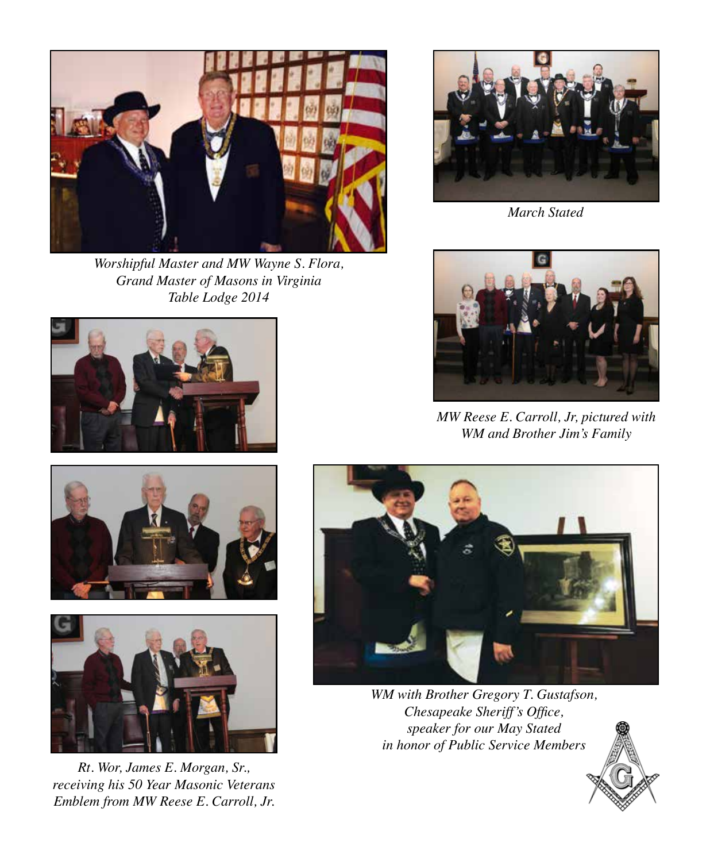

*Worshipful Master and MW Wayne S. Flora, Grand Master of Masons in Virginia Table Lodge 2014*







*Rt. Wor, James E. Morgan, Sr., receiving his 50 Year Masonic Veterans Emblem from MW Reese E. Carroll, Jr.*



*March Stated*



*MW Reese E. Carroll, Jr, pictured with WM and Brother Jim's Family*



*WM with Brother Gregory T. Gustafson, Chesapeake Sheriff's Office, speaker for our May Stated in honor of Public Service Members*

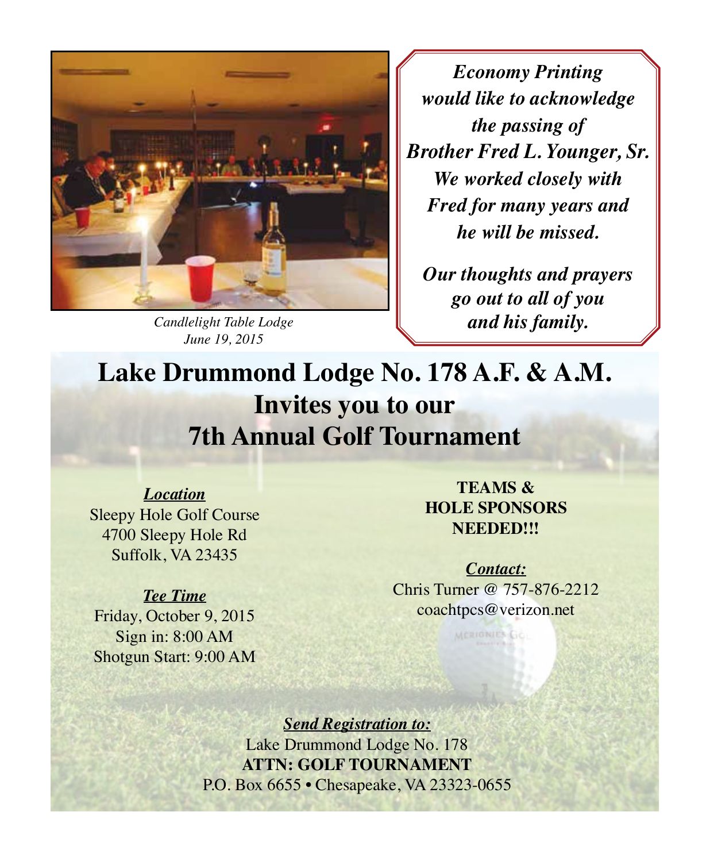

*Candlelight Table Lodge June 19, 2015*

*Economy Printing would like to acknowledge the passing of Brother Fred L. Younger, Sr. We worked closely with Fred for many years and he will be missed.* 

*Our thoughts and prayers go out to all of you and his family.*

# **Lake Drummond Lodge No. 178 A.F. & A.M. Invites you to our 7th Annual Golf Tournament**

*Location* Sleepy Hole Golf Course 4700 Sleepy Hole Rd Suffolk, VA 23435

#### *Tee Time*

Friday, October 9, 2015 Sign in: 8:00 AM Shotgun Start: 9:00 AM

**Teams & Hole Sponsors Needed!!!**

*Contact:* Chris Turner @ 757-876-2212 coachtpcs@verizon.net

MERIONIES GO

*Send Registration to:* Lake Drummond Lodge No. 178 **ATTN: Golf Tournament** P.O. Box 6655 • Chesapeake, VA 23323-0655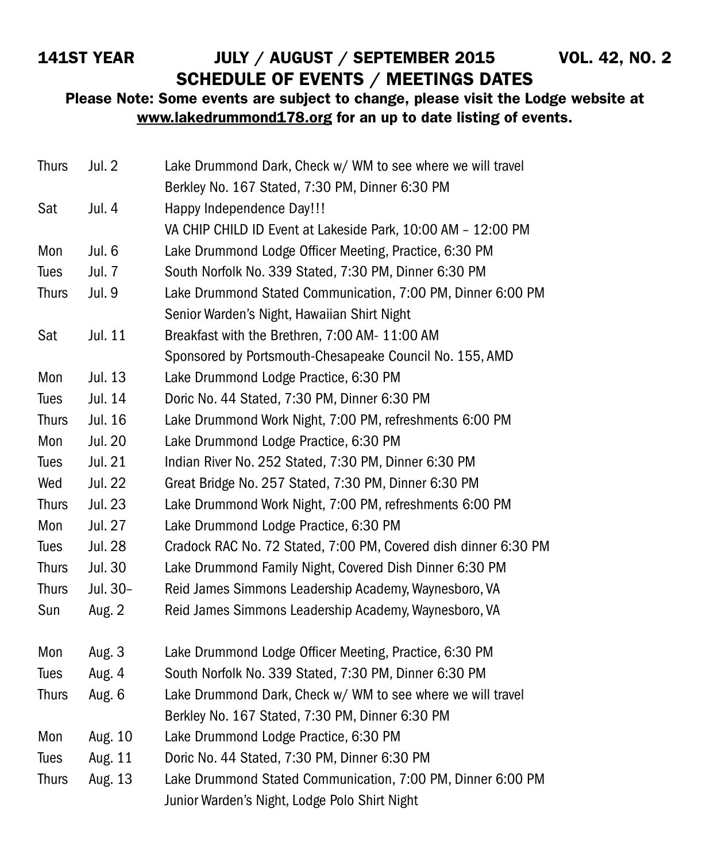### 141st YEAR JULY / AUGUST / SEPTEMBER 2015 VOL. 42, NO. 2 SCHEDULE OF EVENTS / MEETINGS DATES

Please Note: Some events are subject to change, please visit the Lodge website at www.lakedrummond178.org for an up to date listing of events.

| <b>Thurs</b> | Jul. 2         | Lake Drummond Dark, Check w/ WM to see where we will travel     |
|--------------|----------------|-----------------------------------------------------------------|
|              |                | Berkley No. 167 Stated, 7:30 PM, Dinner 6:30 PM                 |
| Sat          | Jul. 4         | Happy Independence Day!!!                                       |
|              |                | VA CHIP CHILD ID Event at Lakeside Park, 10:00 AM - 12:00 PM    |
| Mon          | Jul. 6         | Lake Drummond Lodge Officer Meeting, Practice, 6:30 PM          |
| Tues         | Jul. 7         | South Norfolk No. 339 Stated, 7:30 PM, Dinner 6:30 PM           |
| <b>Thurs</b> | Jul. 9         | Lake Drummond Stated Communication, 7:00 PM, Dinner 6:00 PM     |
|              |                | Senior Warden's Night, Hawaiian Shirt Night                     |
| Sat          | Jul. 11        | Breakfast with the Brethren, 7:00 AM- 11:00 AM                  |
|              |                | Sponsored by Portsmouth-Chesapeake Council No. 155, AMD         |
| Mon          | Jul. 13        | Lake Drummond Lodge Practice, 6:30 PM                           |
| Tues         | Jul. 14        | Doric No. 44 Stated, 7:30 PM, Dinner 6:30 PM                    |
| <b>Thurs</b> | Jul. 16        | Lake Drummond Work Night, 7:00 PM, refreshments 6:00 PM         |
| Mon          | Jul. 20        | Lake Drummond Lodge Practice, 6:30 PM                           |
| Tues         | Jul. 21        | Indian River No. 252 Stated, 7:30 PM, Dinner 6:30 PM            |
| Wed          | Jul. 22        | Great Bridge No. 257 Stated, 7:30 PM, Dinner 6:30 PM            |
| <b>Thurs</b> | Jul. 23        | Lake Drummond Work Night, 7:00 PM, refreshments 6:00 PM         |
| Mon          | Jul. 27        | Lake Drummond Lodge Practice, 6:30 PM                           |
| Tues         | <b>Jul. 28</b> | Cradock RAC No. 72 Stated, 7:00 PM, Covered dish dinner 6:30 PM |
| <b>Thurs</b> | Jul. 30        | Lake Drummond Family Night, Covered Dish Dinner 6:30 PM         |
| <b>Thurs</b> | Jul. 30-       | Reid James Simmons Leadership Academy, Waynesboro, VA           |
| Sun          | Aug. 2         | Reid James Simmons Leadership Academy, Waynesboro, VA           |
| Mon          | Aug. 3         | Lake Drummond Lodge Officer Meeting, Practice, 6:30 PM          |
| Tues         | Aug. 4         | South Norfolk No. 339 Stated, 7:30 PM, Dinner 6:30 PM           |
| <b>Thurs</b> | Aug. 6         | Lake Drummond Dark, Check w/ WM to see where we will travel     |
|              |                | Berkley No. 167 Stated, 7:30 PM, Dinner 6:30 PM                 |
| Mon          | Aug. 10        | Lake Drummond Lodge Practice, 6:30 PM                           |
| Tues         | Aug. 11        | Doric No. 44 Stated, 7:30 PM, Dinner 6:30 PM                    |
| <b>Thurs</b> | Aug. 13        | Lake Drummond Stated Communication, 7:00 PM, Dinner 6:00 PM     |
|              |                | Junior Warden's Night, Lodge Polo Shirt Night                   |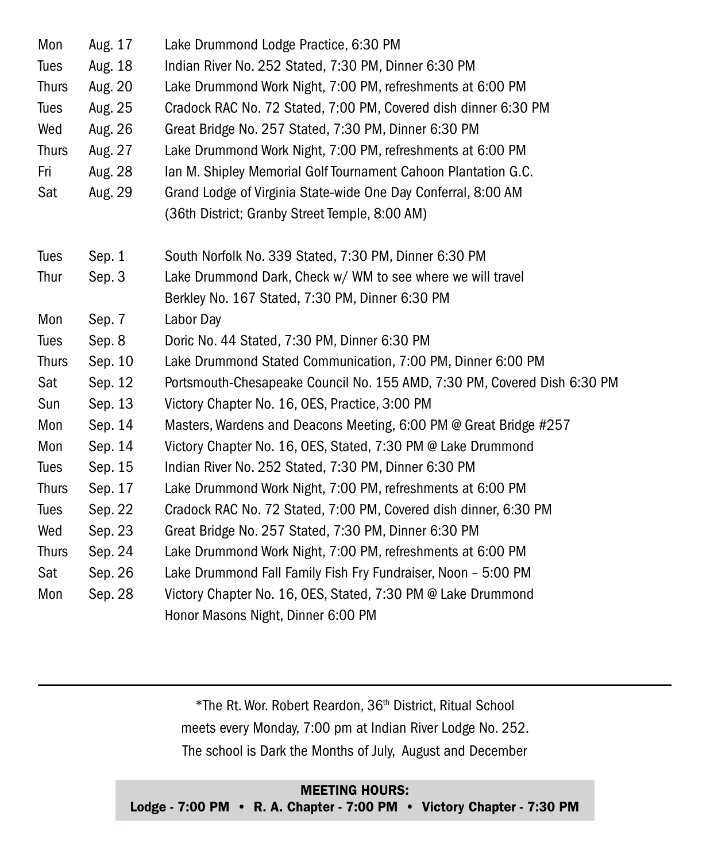| Mon          | Aug. 17 | Lake Drummond Lodge Practice, 6:30 PM                                    |
|--------------|---------|--------------------------------------------------------------------------|
| Tues         | Aug. 18 | Indian River No. 252 Stated, 7:30 PM, Dinner 6:30 PM                     |
| <b>Thurs</b> | Aug. 20 | Lake Drummond Work Night, 7:00 PM, refreshments at 6:00 PM               |
| Tues         | Aug. 25 | Cradock RAC No. 72 Stated, 7:00 PM, Covered dish dinner 6:30 PM          |
| Wed          | Aug. 26 | Great Bridge No. 257 Stated, 7:30 PM, Dinner 6:30 PM                     |
| <b>Thurs</b> | Aug. 27 | Lake Drummond Work Night, 7:00 PM, refreshments at 6:00 PM               |
| Fri          | Aug. 28 | Ian M. Shipley Memorial Golf Tournament Cahoon Plantation G.C.           |
| Sat          | Aug. 29 | Grand Lodge of Virginia State-wide One Day Conferral, 8:00 AM            |
|              |         | (36th District; Granby Street Temple, 8:00 AM)                           |
| Tues         | Sep. 1  | South Norfolk No. 339 Stated, 7:30 PM, Dinner 6:30 PM                    |
| Thur         | Sep. 3  | Lake Drummond Dark, Check w/ WM to see where we will travel              |
|              |         | Berkley No. 167 Stated, 7:30 PM, Dinner 6:30 PM                          |
| Mon          | Sep. 7  | Labor Day                                                                |
| Tues         | Sep. 8  | Doric No. 44 Stated, 7:30 PM, Dinner 6:30 PM                             |
| <b>Thurs</b> | Sep. 10 | Lake Drummond Stated Communication, 7:00 PM, Dinner 6:00 PM              |
| Sat          | Sep. 12 | Portsmouth-Chesapeake Council No. 155 AMD, 7:30 PM, Covered Dish 6:30 PM |
| Sun          | Sep. 13 | Victory Chapter No. 16, OES, Practice, 3:00 PM                           |
| Mon          | Sep. 14 | Masters, Wardens and Deacons Meeting, 6:00 PM @ Great Bridge #257        |
| Mon          | Sep. 14 | Victory Chapter No. 16, OES, Stated, 7:30 PM @ Lake Drummond             |
| Tues         | Sep. 15 | Indian River No. 252 Stated, 7:30 PM, Dinner 6:30 PM                     |
| <b>Thurs</b> | Sep. 17 | Lake Drummond Work Night, 7:00 PM, refreshments at 6:00 PM               |
| <b>Tues</b>  | Sep. 22 | Cradock RAC No. 72 Stated, 7:00 PM, Covered dish dinner, 6:30 PM         |
| Wed          | Sep. 23 | Great Bridge No. 257 Stated, 7:30 PM, Dinner 6:30 PM                     |
| <b>Thurs</b> | Sep. 24 | Lake Drummond Work Night, 7:00 PM, refreshments at 6:00 PM               |
| Sat          | Sep. 26 | Lake Drummond Fall Family Fish Fry Fundraiser, Noon - 5:00 PM            |
| Mon          | Sep. 28 | Victory Chapter No. 16, OES, Stated, 7:30 PM @ Lake Drummond             |
|              |         | Honor Masons Night, Dinner 6:00 PM                                       |

\*The Rt. Wor. Robert Reardon, 36th District, Ritual School meets every Monday, 7:00 pm at Indian River Lodge No. 252. The school is Dark the Months of July, August and December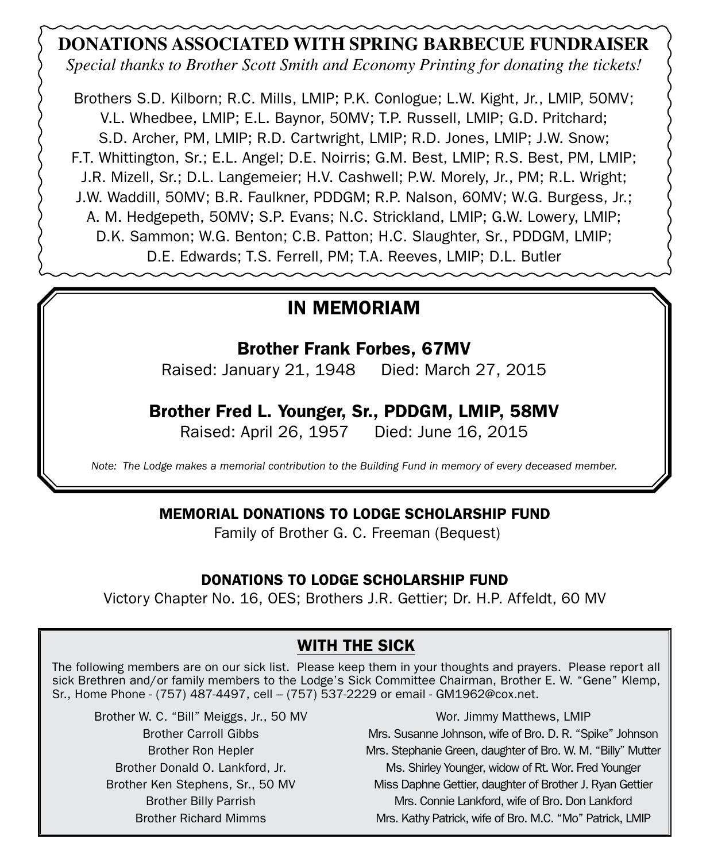### **DONATIONS ASSOCIATED WITH SPRING BARBECUE FUNDRAISER**

*Special thanks to Brother Scott Smith and Economy Printing for donating the tickets!*

Brothers S.D. Kilborn; R.C. Mills, LMIP; P.K. Conlogue; L.W. Kight, Jr., LMIP, 50MV; V.L. Whedbee, LMIP; E.L. Baynor, 50MV; T.P. Russell, LMIP; G.D. Pritchard; S.D. Archer, PM, LMIP; R.D. Cartwright, LMIP; R.D. Jones, LMIP; J.W. Snow; F.T. Whittington, Sr.; E.L. Angel; D.E. Noirris; G.M. Best, LMIP; R.S. Best, PM, LMIP; J.R. Mizell, Sr.; D.L. Langemeier; H.V. Cashwell; P.W. Morely, Jr., PM; R.L. Wright; J.W. Waddill, 50MV; B.R. Faulkner, PDDGM; R.P. Nalson, 60MV; W.G. Burgess, Jr.; A. M. Hedgepeth, 50MV; S.P. Evans; N.C. Strickland, LMIP; G.W. Lowery, LMIP; D.K. Sammon; W.G. Benton; C.B. Patton; H.C. Slaughter, Sr., PDDGM, LMIP; D.E. Edwards; T.S. Ferrell, PM; T.A. Reeves, LMIP; D.L. Butler

### IN MEMORIAM

#### Brother Frank Forbes, 67MV

Raised: January 21, 1948 Died: March 27, 2015

#### Brother Fred L. Younger, Sr., PDDGM, LMIP, 58MV

Raised: April 26, 1957 Died: June 16, 2015

*Note: The Lodge makes a memorial contribution to the Building Fund in memory of every deceased member.*

#### MEMORIAL DONATIONS TO LODGE SCHOLARSHIP FUND

Family of Brother G. C. Freeman (Bequest)

#### DONATIONS TO LODGE SCHOLARSHIP FUND

Victory Chapter No. 16, OES; Brothers J.R. Gettier; Dr. H.P. Affeldt, 60 MV

#### WITH THE SICK

The following members are on our sick list. Please keep them in your thoughts and prayers. Please report all sick Brethren and/or family members to the Lodge's Sick Committee Chairman, Brother E. W. "Gene" Klemp, Sr., Home Phone - (757) 487-4497, cell – (757) 537-2229 or email - GM1962@cox.net.

Brother W. C. "Bill" Meiggs, Jr., 50 MV Brother Carroll Gibbs Brother Ron Hepler Brother Donald O. Lankford, Jr. Brother Ken Stephens, Sr., 50 MV Brother Billy Parrish Brother Richard Mimms

Wor. Jimmy Matthews, LMIP Mrs. Susanne Johnson, wife of Bro. D. R. "Spike" Johnson Mrs. Stephanie Green, daughter of Bro. W. M. "Billy" Mutter Ms. Shirley Younger, widow of Rt. Wor. Fred Younger Miss Daphne Gettier, daughter of Brother J. Ryan Gettier Mrs. Connie Lankford, wife of Bro. Don Lankford Mrs. Kathy Patrick, wife of Bro. M.C. "Mo" Patrick, LMIP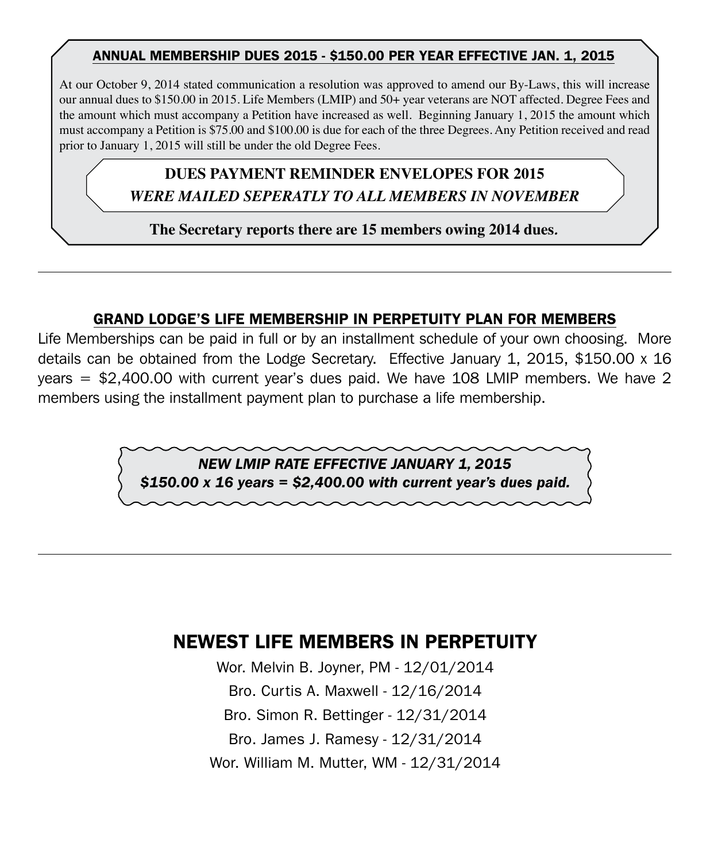#### ANNUAL MEMBERSHIP DUES 2015 - \$150.00 PER YEAR EFFECTIVE jan. 1, 2015

At our October 9, 2014 stated communication a resolution was approved to amend our By-Laws, this will increase our annual dues to \$150.00 in 2015. Life Members (LMIP) and 50+ year veterans are NOT affected. Degree Fees and the amount which must accompany a Petition have increased as well. Beginning January 1, 2015 the amount which must accompany a Petition is \$75.00 and \$100.00 is due for each of the three Degrees. Any Petition received and read prior to January 1, 2015 will still be under the old Degree Fees.

# **Dues PAYMENT Reminder Envelopes FOR 2015 Dues PAYMENT Reminder Envelopes FOR 2015**

*Will BE MAILED SEPERATLY TO ALL MEMBERS IN NOVEMBER WERE MAILED SEPERATLY TO ALL MEMBERS IN NOVEMBER*

**The Secretary reports there are 15 members owing 2014 dues***.*

#### GRAND LODGE'S LIFE MEMBERSHIP IN PERPETUITY PLAN FOR MEMBERS

Life Memberships can be paid in full or by an installment schedule of your own choosing. More details can be obtained from the Lodge Secretary. Effective January 1, 2015, \$150.00 x 16 years = \$2,400.00 with current year's dues paid. We have 108 LMIP members. We have 2 members using the installment payment plan to purchase a life membership.

> *NEW LMIP RATE EFFECTIVE JANUARY 1, 2015 \$150.00 x 16 years = \$2,400.00 with current year's dues paid.*

### NEWEST LIFE MEMBERS IN PERPETUITY

Wor. Melvin B. Joyner, PM - 12/01/2014 Bro. Curtis A. Maxwell - 12/16/2014 Bro. Simon R. Bettinger - 12/31/2014 Bro. James J. Ramesy - 12/31/2014 Wor. William M. Mutter, WM - 12/31/2014